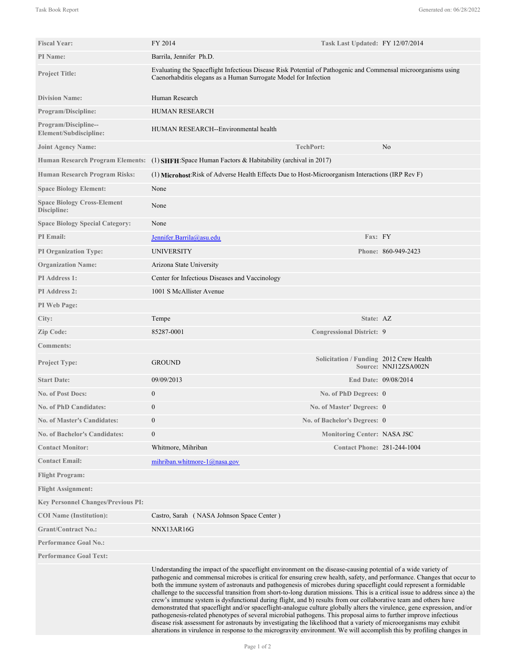| <b>Fiscal Year:</b>                               | FY 2014                                                                                                                                                                                                                                                                                                                                                                                                                                                                                                                                                                                                                                                                                                                                                                                                                                                                                                                                                                                                                                                                                                          | Task Last Updated: FY 12/07/2014        |                      |
|---------------------------------------------------|------------------------------------------------------------------------------------------------------------------------------------------------------------------------------------------------------------------------------------------------------------------------------------------------------------------------------------------------------------------------------------------------------------------------------------------------------------------------------------------------------------------------------------------------------------------------------------------------------------------------------------------------------------------------------------------------------------------------------------------------------------------------------------------------------------------------------------------------------------------------------------------------------------------------------------------------------------------------------------------------------------------------------------------------------------------------------------------------------------------|-----------------------------------------|----------------------|
| PI Name:                                          | Barrila, Jennifer Ph.D.                                                                                                                                                                                                                                                                                                                                                                                                                                                                                                                                                                                                                                                                                                                                                                                                                                                                                                                                                                                                                                                                                          |                                         |                      |
| <b>Project Title:</b>                             | Evaluating the Spaceflight Infectious Disease Risk Potential of Pathogenic and Commensal microorganisms using<br>Caenorhabditis elegans as a Human Surrogate Model for Infection                                                                                                                                                                                                                                                                                                                                                                                                                                                                                                                                                                                                                                                                                                                                                                                                                                                                                                                                 |                                         |                      |
| <b>Division Name:</b>                             | Human Research                                                                                                                                                                                                                                                                                                                                                                                                                                                                                                                                                                                                                                                                                                                                                                                                                                                                                                                                                                                                                                                                                                   |                                         |                      |
| <b>Program/Discipline:</b>                        | <b>HUMAN RESEARCH</b>                                                                                                                                                                                                                                                                                                                                                                                                                                                                                                                                                                                                                                                                                                                                                                                                                                                                                                                                                                                                                                                                                            |                                         |                      |
| Program/Discipline--<br>Element/Subdiscipline:    | HUMAN RESEARCH--Environmental health                                                                                                                                                                                                                                                                                                                                                                                                                                                                                                                                                                                                                                                                                                                                                                                                                                                                                                                                                                                                                                                                             |                                         |                      |
| <b>Joint Agency Name:</b>                         |                                                                                                                                                                                                                                                                                                                                                                                                                                                                                                                                                                                                                                                                                                                                                                                                                                                                                                                                                                                                                                                                                                                  | <b>TechPort:</b>                        | No                   |
|                                                   | Human Research Program Elements: (1) SHFH: Space Human Factors & Habitability (archival in 2017)                                                                                                                                                                                                                                                                                                                                                                                                                                                                                                                                                                                                                                                                                                                                                                                                                                                                                                                                                                                                                 |                                         |                      |
| Human Research Program Risks:                     | (1) Microhost Risk of Adverse Health Effects Due to Host-Microorganism Interactions (IRP Rev F)                                                                                                                                                                                                                                                                                                                                                                                                                                                                                                                                                                                                                                                                                                                                                                                                                                                                                                                                                                                                                  |                                         |                      |
| <b>Space Biology Element:</b>                     | None                                                                                                                                                                                                                                                                                                                                                                                                                                                                                                                                                                                                                                                                                                                                                                                                                                                                                                                                                                                                                                                                                                             |                                         |                      |
| <b>Space Biology Cross-Element</b><br>Discipline: | None                                                                                                                                                                                                                                                                                                                                                                                                                                                                                                                                                                                                                                                                                                                                                                                                                                                                                                                                                                                                                                                                                                             |                                         |                      |
| <b>Space Biology Special Category:</b>            | None                                                                                                                                                                                                                                                                                                                                                                                                                                                                                                                                                                                                                                                                                                                                                                                                                                                                                                                                                                                                                                                                                                             |                                         |                      |
| <b>PI</b> Email:                                  | Jennifer.Barrila@asu.edu                                                                                                                                                                                                                                                                                                                                                                                                                                                                                                                                                                                                                                                                                                                                                                                                                                                                                                                                                                                                                                                                                         | Fax: FY                                 |                      |
| <b>PI Organization Type:</b>                      | <b>UNIVERSITY</b>                                                                                                                                                                                                                                                                                                                                                                                                                                                                                                                                                                                                                                                                                                                                                                                                                                                                                                                                                                                                                                                                                                |                                         | Phone: 860-949-2423  |
| <b>Organization Name:</b>                         | Arizona State University                                                                                                                                                                                                                                                                                                                                                                                                                                                                                                                                                                                                                                                                                                                                                                                                                                                                                                                                                                                                                                                                                         |                                         |                      |
| <b>PI</b> Address 1:                              | Center for Infectious Diseases and Vaccinology                                                                                                                                                                                                                                                                                                                                                                                                                                                                                                                                                                                                                                                                                                                                                                                                                                                                                                                                                                                                                                                                   |                                         |                      |
| <b>PI</b> Address 2:                              | 1001 S McAllister Avenue                                                                                                                                                                                                                                                                                                                                                                                                                                                                                                                                                                                                                                                                                                                                                                                                                                                                                                                                                                                                                                                                                         |                                         |                      |
| PI Web Page:                                      |                                                                                                                                                                                                                                                                                                                                                                                                                                                                                                                                                                                                                                                                                                                                                                                                                                                                                                                                                                                                                                                                                                                  |                                         |                      |
| City:                                             | Tempe                                                                                                                                                                                                                                                                                                                                                                                                                                                                                                                                                                                                                                                                                                                                                                                                                                                                                                                                                                                                                                                                                                            | State: AZ                               |                      |
| Zip Code:                                         | 85287-0001                                                                                                                                                                                                                                                                                                                                                                                                                                                                                                                                                                                                                                                                                                                                                                                                                                                                                                                                                                                                                                                                                                       | <b>Congressional District: 9</b>        |                      |
| <b>Comments:</b>                                  |                                                                                                                                                                                                                                                                                                                                                                                                                                                                                                                                                                                                                                                                                                                                                                                                                                                                                                                                                                                                                                                                                                                  |                                         |                      |
| <b>Project Type:</b>                              | <b>GROUND</b>                                                                                                                                                                                                                                                                                                                                                                                                                                                                                                                                                                                                                                                                                                                                                                                                                                                                                                                                                                                                                                                                                                    | Solicitation / Funding 2012 Crew Health | Source: NNJ12ZSA002N |
| <b>Start Date:</b>                                | 09/09/2013                                                                                                                                                                                                                                                                                                                                                                                                                                                                                                                                                                                                                                                                                                                                                                                                                                                                                                                                                                                                                                                                                                       |                                         | End Date: 09/08/2014 |
| <b>No. of Post Docs:</b>                          | $\boldsymbol{0}$                                                                                                                                                                                                                                                                                                                                                                                                                                                                                                                                                                                                                                                                                                                                                                                                                                                                                                                                                                                                                                                                                                 | No. of PhD Degrees: 0                   |                      |
| <b>No. of PhD Candidates:</b>                     | $\boldsymbol{0}$                                                                                                                                                                                                                                                                                                                                                                                                                                                                                                                                                                                                                                                                                                                                                                                                                                                                                                                                                                                                                                                                                                 | No. of Master' Degrees: 0               |                      |
| <b>No. of Master's Candidates:</b>                | $\mathbf{0}$                                                                                                                                                                                                                                                                                                                                                                                                                                                                                                                                                                                                                                                                                                                                                                                                                                                                                                                                                                                                                                                                                                     | No. of Bachelor's Degrees: 0            |                      |
| <b>No. of Bachelor's Candidates:</b>              | $\boldsymbol{0}$                                                                                                                                                                                                                                                                                                                                                                                                                                                                                                                                                                                                                                                                                                                                                                                                                                                                                                                                                                                                                                                                                                 | <b>Monitoring Center: NASA JSC</b>      |                      |
| <b>Contact Monitor:</b>                           | Whitmore, Mihriban                                                                                                                                                                                                                                                                                                                                                                                                                                                                                                                                                                                                                                                                                                                                                                                                                                                                                                                                                                                                                                                                                               | <b>Contact Phone: 281-244-1004</b>      |                      |
| <b>Contact Email:</b>                             | mihriban.whitmore- $1$ @nasa.gov                                                                                                                                                                                                                                                                                                                                                                                                                                                                                                                                                                                                                                                                                                                                                                                                                                                                                                                                                                                                                                                                                 |                                         |                      |
| <b>Flight Program:</b>                            |                                                                                                                                                                                                                                                                                                                                                                                                                                                                                                                                                                                                                                                                                                                                                                                                                                                                                                                                                                                                                                                                                                                  |                                         |                      |
| <b>Flight Assignment:</b>                         |                                                                                                                                                                                                                                                                                                                                                                                                                                                                                                                                                                                                                                                                                                                                                                                                                                                                                                                                                                                                                                                                                                                  |                                         |                      |
| <b>Key Personnel Changes/Previous PI:</b>         |                                                                                                                                                                                                                                                                                                                                                                                                                                                                                                                                                                                                                                                                                                                                                                                                                                                                                                                                                                                                                                                                                                                  |                                         |                      |
| <b>COI</b> Name (Institution):                    | Castro, Sarah (NASA Johnson Space Center)                                                                                                                                                                                                                                                                                                                                                                                                                                                                                                                                                                                                                                                                                                                                                                                                                                                                                                                                                                                                                                                                        |                                         |                      |
| <b>Grant/Contract No.:</b>                        | NNX13AR16G                                                                                                                                                                                                                                                                                                                                                                                                                                                                                                                                                                                                                                                                                                                                                                                                                                                                                                                                                                                                                                                                                                       |                                         |                      |
| <b>Performance Goal No.:</b>                      |                                                                                                                                                                                                                                                                                                                                                                                                                                                                                                                                                                                                                                                                                                                                                                                                                                                                                                                                                                                                                                                                                                                  |                                         |                      |
| <b>Performance Goal Text:</b>                     |                                                                                                                                                                                                                                                                                                                                                                                                                                                                                                                                                                                                                                                                                                                                                                                                                                                                                                                                                                                                                                                                                                                  |                                         |                      |
|                                                   | Understanding the impact of the spaceflight environment on the disease-causing potential of a wide variety of<br>pathogenic and commensal microbes is critical for ensuring crew health, safety, and performance. Changes that occur to<br>both the immune system of astronauts and pathogenesis of microbes during spaceflight could represent a formidable<br>challenge to the successful transition from short-to-long duration missions. This is a critical issue to address since a) the<br>crew's immune system is dysfunctional during flight, and b) results from our collaborative team and others have<br>demonstrated that spaceflight and/or spaceflight-analogue culture globally alters the virulence, gene expression, and/or<br>pathogenesis-related phenotypes of several microbial pathogens. This proposal aims to further improve infectious<br>disease risk assessment for astronauts by investigating the likelihood that a variety of microorganisms may exhibit<br>alterations in virulence in response to the microgravity environment. We will accomplish this by profiling changes in |                                         |                      |